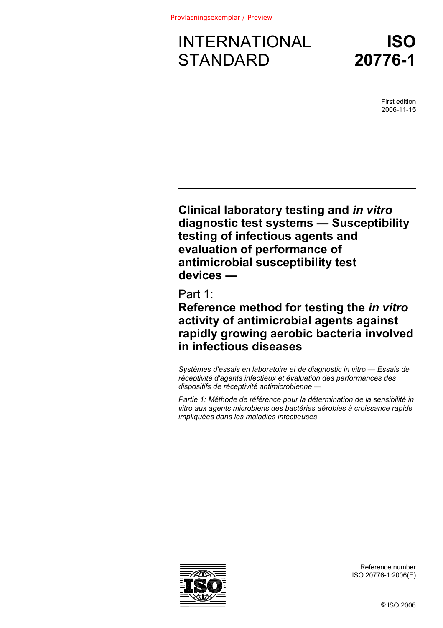# INTERNATIONAL **STANDARD**



First edition 2006-11-15

**Clinical laboratory testing and** *in vitro* **diagnostic test systems — Susceptibility testing of infectious agents and evaluation of performance of antimicrobial susceptibility test devices —** 

# Part 1:

**Reference method for testing the** *in vitro* **activity of antimicrobial agents against rapidly growing aerobic bacteria involved in infectious diseases** 

*Systèmes d'essais en laboratoire et de diagnostic in vitro — Essais de réceptivité d'agents infectieux et évaluation des performances des dispositifs de réceptivité antimicrobienne —* 

*Partie 1: Méthode de référence pour la détermination de la sensibilité in vitro aux agents microbiens des bactéries aérobies à croissance rapide impliquées dans les maladies infectieuses* 



Reference number ISO 20776-1:2006(E)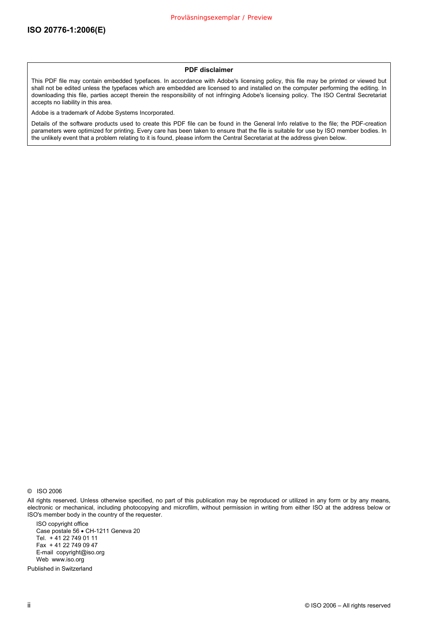#### **PDF disclaimer**

This PDF file may contain embedded typefaces. In accordance with Adobe's licensing policy, this file may be printed or viewed but shall not be edited unless the typefaces which are embedded are licensed to and installed on the computer performing the editing. In downloading this file, parties accept therein the responsibility of not infringing Adobe's licensing policy. The ISO Central Secretariat accepts no liability in this area.

Adobe is a trademark of Adobe Systems Incorporated.

Details of the software products used to create this PDF file can be found in the General Info relative to the file; the PDF-creation parameters were optimized for printing. Every care has been taken to ensure that the file is suitable for use by ISO member bodies. In the unlikely event that a problem relating to it is found, please inform the Central Secretariat at the address given below.

© ISO 2006

All rights reserved. Unless otherwise specified, no part of this publication may be reproduced or utilized in any form or by any means, electronic or mechanical, including photocopying and microfilm, without permission in writing from either ISO at the address below or ISO's member body in the country of the requester.

ISO copyright office Case postale 56 • CH-1211 Geneva 20 Tel. + 41 22 749 01 11 Fax + 41 22 749 09 47 E-mail copyright@iso.org Web www.iso.org

Published in Switzerland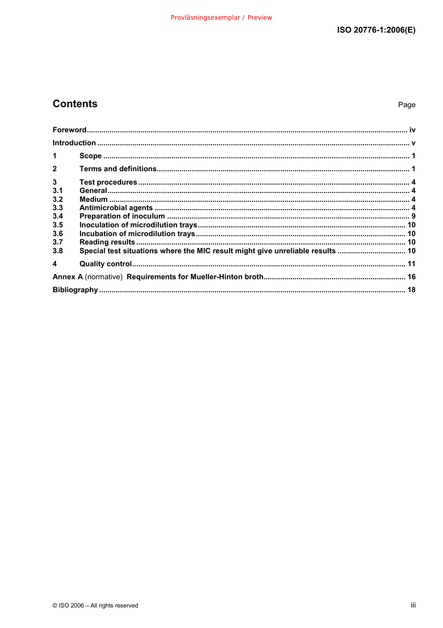# **Contents**

| $\mathbf 1$             |                                                                                |  |
|-------------------------|--------------------------------------------------------------------------------|--|
| $\overline{2}$          |                                                                                |  |
| $\overline{\mathbf{3}}$ |                                                                                |  |
| 3.1                     |                                                                                |  |
| 3.2                     |                                                                                |  |
| 3.3                     |                                                                                |  |
| 3.4                     |                                                                                |  |
| 3.5                     |                                                                                |  |
| 3.6                     |                                                                                |  |
| 3.7                     |                                                                                |  |
| 3.8                     | Special test situations where the MIC result might give unreliable results  10 |  |
| $\overline{\mathbf{4}}$ |                                                                                |  |
|                         |                                                                                |  |
|                         |                                                                                |  |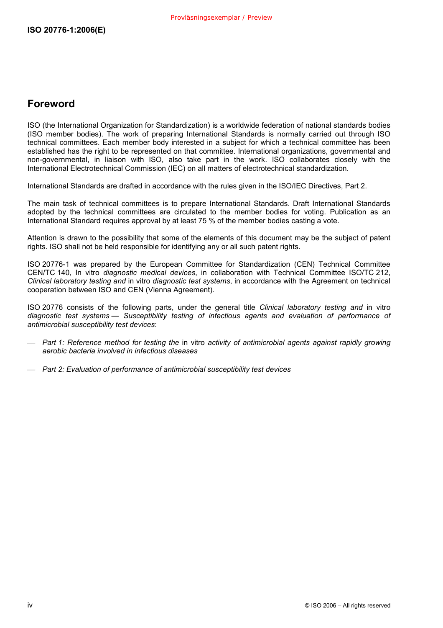# **Foreword**

ISO (the International Organization for Standardization) is a worldwide federation of national standards bodies (ISO member bodies). The work of preparing International Standards is normally carried out through ISO technical committees. Each member body interested in a subject for which a technical committee has been established has the right to be represented on that committee. International organizations, governmental and non-governmental, in liaison with ISO, also take part in the work. ISO collaborates closely with the International Electrotechnical Commission (IEC) on all matters of electrotechnical standardization.

International Standards are drafted in accordance with the rules given in the ISO/IEC Directives, Part 2.

The main task of technical committees is to prepare International Standards. Draft International Standards adopted by the technical committees are circulated to the member bodies for voting. Publication as an International Standard requires approval by at least 75 % of the member bodies casting a vote.

Attention is drawn to the possibility that some of the elements of this document may be the subject of patent rights. ISO shall not be held responsible for identifying any or all such patent rights.

ISO 20776-1 was prepared by the European Committee for Standardization (CEN) Technical Committee CEN/TC 140, In vitro *diagnostic medical devices*, in collaboration with Technical Committee ISO/TC 212, *Clinical laboratory testing and* in vitro *diagnostic test systems*, in accordance with the Agreement on technical cooperation between ISO and CEN (Vienna Agreement).

ISO 20776 consists of the following parts, under the general title *Clinical laboratory testing and* in vitro *diagnostic test systems — Susceptibility testing of infectious agents and evaluation of performance of antimicrobial susceptibility test devices*:

- Part 1: Reference method for testing the in vitro activity of antimicrobial agents against rapidly growing *aerobic bacteria involved in infectious diseases*
- ⎯ *Part 2: Evaluation of performance of antimicrobial susceptibility test devices*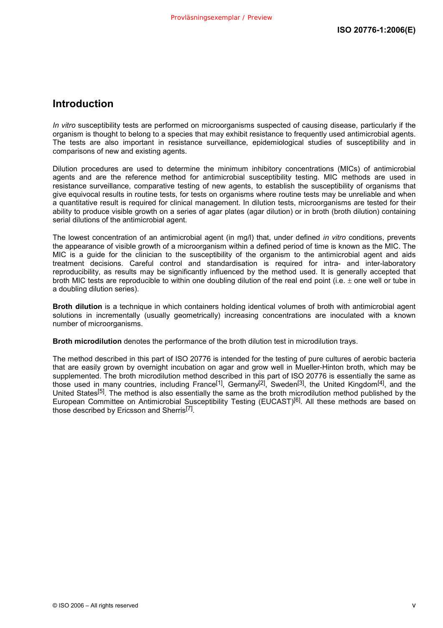## **Introduction**

*In vitro* susceptibility tests are performed on microorganisms suspected of causing disease, particularly if the organism is thought to belong to a species that may exhibit resistance to frequently used antimicrobial agents. The tests are also important in resistance surveillance, epidemiological studies of susceptibility and in comparisons of new and existing agents.

Dilution procedures are used to determine the minimum inhibitory concentrations (MICs) of antimicrobial agents and are the reference method for antimicrobial susceptibility testing. MIC methods are used in resistance surveillance, comparative testing of new agents, to establish the susceptibility of organisms that give equivocal results in routine tests, for tests on organisms where routine tests may be unreliable and when a quantitative result is required for clinical management. In dilution tests, microorganisms are tested for their ability to produce visible growth on a series of agar plates (agar dilution) or in broth (broth dilution) containing serial dilutions of the antimicrobial agent.

The lowest concentration of an antimicrobial agent (in mg/l) that, under defined *in vitro* conditions, prevents the appearance of visible growth of a microorganism within a defined period of time is known as the MIC. The MIC is a guide for the clinician to the susceptibility of the organism to the antimicrobial agent and aids treatment decisions. Careful control and standardisation is required for intra- and inter-laboratory reproducibility, as results may be significantly influenced by the method used. It is generally accepted that broth MIC tests are reproducible to within one doubling dilution of the real end point (i.e.  $\pm$  one well or tube in a doubling dilution series).

**Broth dilution** is a technique in which containers holding identical volumes of broth with antimicrobial agent solutions in incrementally (usually geometrically) increasing concentrations are inoculated with a known number of microorganisms.

**Broth microdilution** denotes the performance of the broth dilution test in microdilution trays.

The method described in this part of ISO 20776 is intended for the testing of pure cultures of aerobic bacteria that are easily grown by overnight incubation on agar and grow well in Mueller-Hinton broth, which may be supplemented. The broth microdilution method described in this part of ISO 20776 is essentially the same as those used in many countries, including France<sup>[1]</sup>, Germany<sup>[2]</sup>, Sweden<sup>[3]</sup>, the United Kingdom<sup>[4]</sup>, and the United States<sup>[5]</sup>. The method is also essentially the same as the broth microdilution method published by the European Committee on Antimicrobial Susceptibility Testing (EUCAST)[6]. All these methods are based on those described by Ericsson and Sherris<sup>[7]</sup>.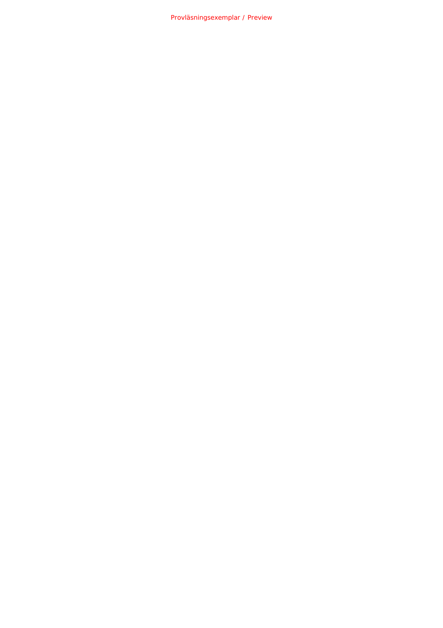Provläsningsexemplar / Preview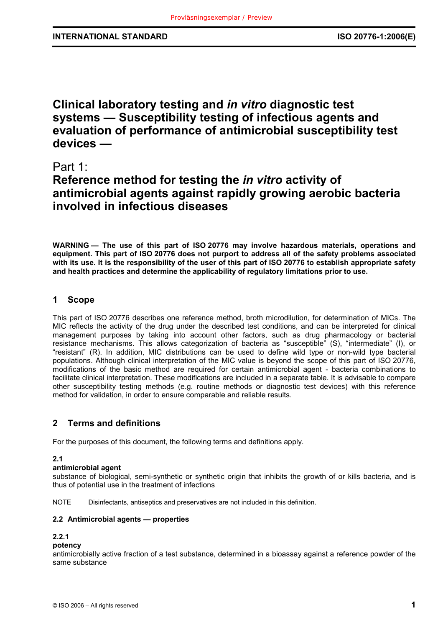# **Clinical laboratory testing and** *in vitro* **diagnostic test systems — Susceptibility testing of infectious agents and evaluation of performance of antimicrobial susceptibility test devices —**

### Part 1:

# **Reference method for testing the** *in vitro* **activity of antimicrobial agents against rapidly growing aerobic bacteria involved in infectious diseases**

**WARNING — The use of this part of ISO 20776 may involve hazardous materials, operations and equipment. This part of ISO 20776 does not purport to address all of the safety problems associated with its use. It is the responsibility of the user of this part of ISO 20776 to establish appropriate safety and health practices and determine the applicability of regulatory limitations prior to use.** 

### **1 Scope**

This part of ISO 20776 describes one reference method, broth microdilution, for determination of MICs. The MIC reflects the activity of the drug under the described test conditions, and can be interpreted for clinical management purposes by taking into account other factors, such as drug pharmacology or bacterial resistance mechanisms. This allows categorization of bacteria as "susceptible" (S), "intermediate" (I), or "resistant" (R). In addition, MIC distributions can be used to define wild type or non-wild type bacterial populations. Although clinical interpretation of the MIC value is beyond the scope of this part of ISO 20776, modifications of the basic method are required for certain antimicrobial agent - bacteria combinations to facilitate clinical interpretation. These modifications are included in a separate table. It is advisable to compare other susceptibility testing methods (e.g. routine methods or diagnostic test devices) with this reference method for validation, in order to ensure comparable and reliable results.

### **2 Terms and definitions**

For the purposes of this document, the following terms and definitions apply.

### **2.1**

### **antimicrobial agent**

substance of biological, semi-synthetic or synthetic origin that inhibits the growth of or kills bacteria, and is thus of potential use in the treatment of infections

NOTE Disinfectants, antiseptics and preservatives are not included in this definition.

### **2.2 Antimicrobial agents — properties**

### **2.2.1**

### **potency**

antimicrobially active fraction of a test substance, determined in a bioassay against a reference powder of the same substance